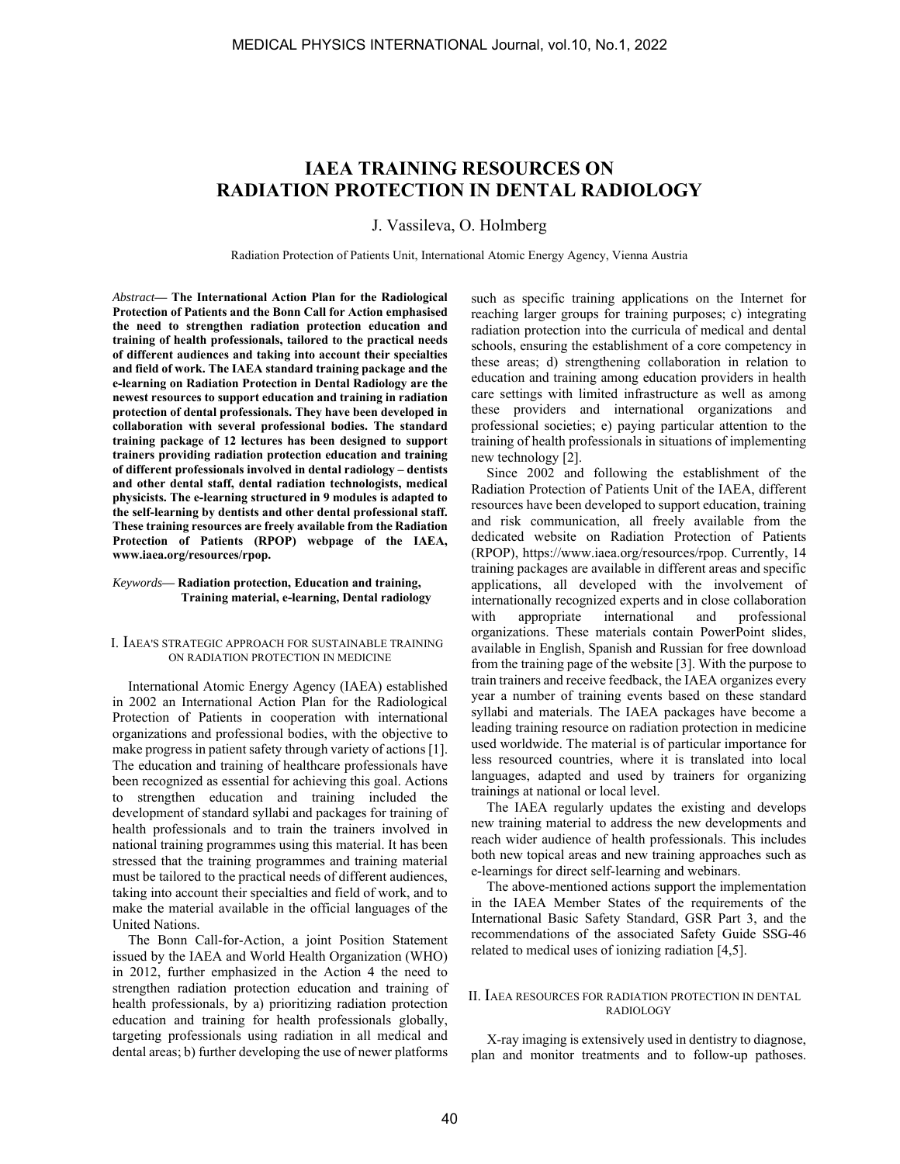# **IAEA TRAINING RESOURCES ON RADIATION PROTECTION IN DENTAL RADIOLOGY**

J. Vassileva, O. Holmberg

Radiation Protection of Patients Unit, International Atomic Energy Agency, Vienna Austria

*Abstract***— The International Action Plan for the Radiological Protection of Patients and the Bonn Call for Action emphasised the need to strengthen radiation protection education and training of health professionals, tailored to the practical needs of different audiences and taking into account their specialties and field of work. The IAEA standard training package and the e-learning on Radiation Protection in Dental Radiology are the newest resources to support education and training in radiation protection of dental professionals. They have been developed in collaboration with several professional bodies. The standard training package of 12 lectures has been designed to support trainers providing radiation protection education and training of different professionals involved in dental radiology – dentists and other dental staff, dental radiation technologists, medical physicists. The e-learning structured in 9 modules is adapted to the self-learning by dentists and other dental professional staff. These training resources are freely available from the Radiation Protection of Patients (RPOP) webpage of the IAEA, www.iaea.org/resources/rpop.** 

#### *Keywords***— Radiation protection, Education and training, Training material, e-learning, Dental radiology**

#### I. IAEA'S STRATEGIC APPROACH FOR SUSTAINABLE TRAINING ON RADIATION PROTECTION IN MEDICINE

International Atomic Energy Agency (IAEA) established in 2002 an International Action Plan for the Radiological Protection of Patients in cooperation with international organizations and professional bodies, with the objective to make progress in patient safety through variety of actions [1]. The education and training of healthcare professionals have been recognized as essential for achieving this goal. Actions to strengthen education and training included the development of standard syllabi and packages for training of health professionals and to train the trainers involved in national training programmes using this material. It has been stressed that the training programmes and training material must be tailored to the practical needs of different audiences, taking into account their specialties and field of work, and to make the material available in the official languages of the United Nations.

The Bonn Call-for-Action, a joint Position Statement issued by the IAEA and World Health Organization (WHO) in 2012, further emphasized in the Action 4 the need to strengthen radiation protection education and training of health professionals, by a) prioritizing radiation protection education and training for health professionals globally, targeting professionals using radiation in all medical and dental areas; b) further developing the use of newer platforms such as specific training applications on the Internet for reaching larger groups for training purposes; c) integrating radiation protection into the curricula of medical and dental schools, ensuring the establishment of a core competency in these areas; d) strengthening collaboration in relation to education and training among education providers in health care settings with limited infrastructure as well as among these providers and international organizations and professional societies; e) paying particular attention to the training of health professionals in situations of implementing new technology [2].

Since 2002 and following the establishment of the Radiation Protection of Patients Unit of the IAEA, different resources have been developed to support education, training and risk communication, all freely available from the dedicated website on Radiation Protection of Patients (RPOP), https://www.iaea.org/resources/rpop. Currently, 14 training packages are available in different areas and specific applications, all developed with the involvement of internationally recognized experts and in close collaboration with appropriate international and professional organizations. These materials contain PowerPoint slides, available in English, Spanish and Russian for free download from the training page of the website [3]. With the purpose to train trainers and receive feedback, the IAEA organizes every year a number of training events based on these standard syllabi and materials. The IAEA packages have become a leading training resource on radiation protection in medicine used worldwide. The material is of particular importance for less resourced countries, where it is translated into local languages, adapted and used by trainers for organizing trainings at national or local level.

The IAEA regularly updates the existing and develops new training material to address the new developments and reach wider audience of health professionals. This includes both new topical areas and new training approaches such as e-learnings for direct self-learning and webinars.

The above-mentioned actions support the implementation in the IAEA Member States of the requirements of the International Basic Safety Standard, GSR Part 3, and the recommendations of the associated Safety Guide SSG-46 related to medical uses of ionizing radiation [4,5].

## II. IAEA RESOURCES FOR RADIATION PROTECTION IN DENTAL RADIOLOGY

X-ray imaging is extensively used in dentistry to diagnose, plan and monitor treatments and to follow-up pathoses.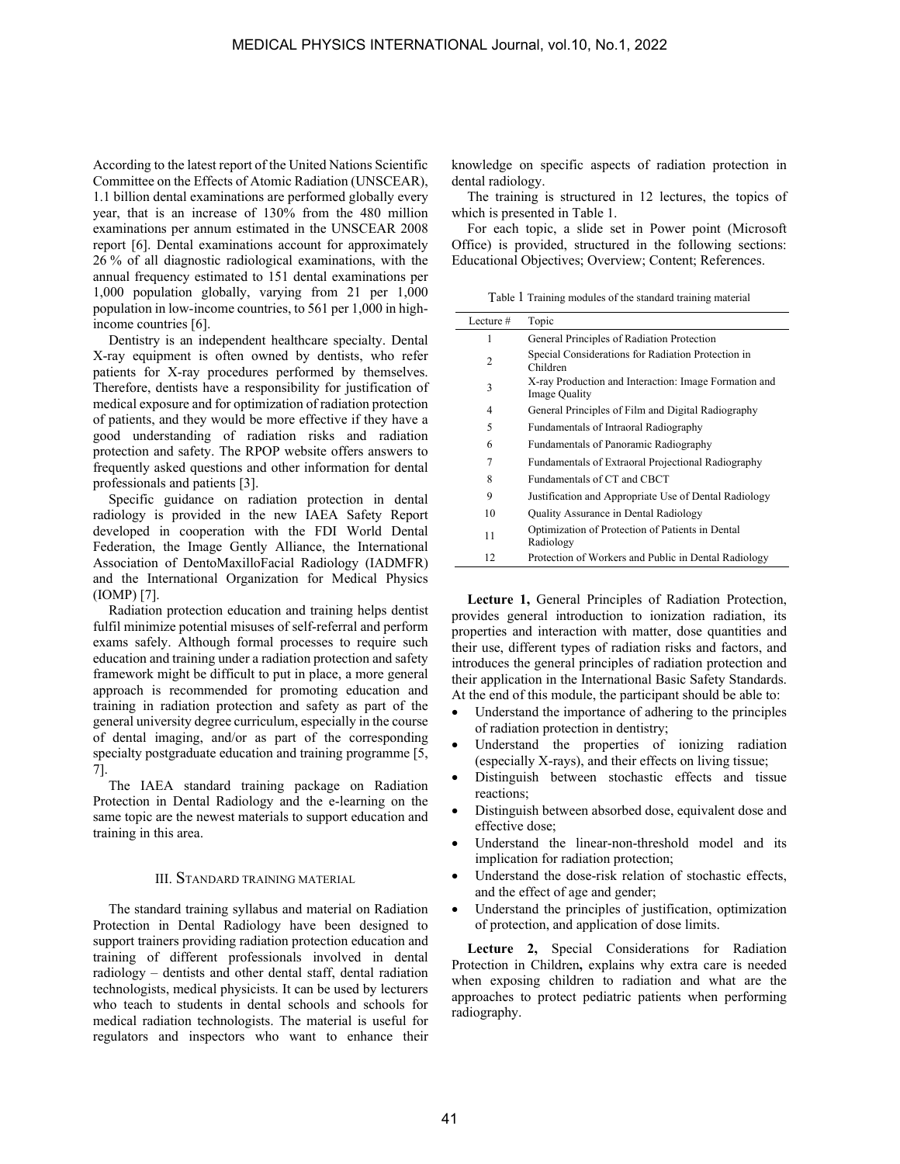According to the latest report of the United Nations Scientific Committee on the Effects of Atomic Radiation (UNSCEAR), 1.1 billion dental examinations are performed globally every year, that is an increase of 130% from the 480 million examinations per annum estimated in the UNSCEAR 2008 report [6]. Dental examinations account for approximately 26 % of all diagnostic radiological examinations, with the annual frequency estimated to 151 dental examinations per 1,000 population globally, varying from 21 per 1,000 population in low-income countries, to 561 per 1,000 in highincome countries [6].

Dentistry is an independent healthcare specialty. Dental X-ray equipment is often owned by dentists, who refer patients for X-ray procedures performed by themselves. Therefore, dentists have a responsibility for justification of medical exposure and for optimization of radiation protection of patients, and they would be more effective if they have a good understanding of radiation risks and radiation protection and safety. The RPOP website offers answers to frequently asked questions and other information for dental professionals and patients [3].

Specific guidance on radiation protection in dental radiology is provided in the new IAEA Safety Report developed in cooperation with the FDI World Dental Federation, the Image Gently Alliance, the International Association of DentoMaxilloFacial Radiology (IADMFR) and the International Organization for Medical Physics (IOMP) [7].

Radiation protection education and training helps dentist fulfil minimize potential misuses of self-referral and perform exams safely. Although formal processes to require such education and training under a radiation protection and safety framework might be difficult to put in place, a more general approach is recommended for promoting education and training in radiation protection and safety as part of the general university degree curriculum, especially in the course of dental imaging, and/or as part of the corresponding specialty postgraduate education and training programme [5, 7].

The IAEA standard training package on Radiation Protection in Dental Radiology and the e-learning on the same topic are the newest materials to support education and training in this area.

#### III. STANDARD TRAINING MATERIAL

The standard training syllabus and material on Radiation Protection in Dental Radiology have been designed to support trainers providing radiation protection education and training of different professionals involved in dental radiology – dentists and other dental staff, dental radiation technologists, medical physicists. It can be used by lecturers who teach to students in dental schools and schools for medical radiation technologists. The material is useful for regulators and inspectors who want to enhance their knowledge on specific aspects of radiation protection in dental radiology.

The training is structured in 12 lectures, the topics of which is presented in Table 1.

For each topic, a slide set in Power point (Microsoft Office) is provided, structured in the following sections: Educational Objectives; Overview; Content; References.

Table 1 Training modules of the standard training material

| Lecture $#$    | Topic                                                                         |
|----------------|-------------------------------------------------------------------------------|
| 1              | General Principles of Radiation Protection                                    |
| $\overline{c}$ | Special Considerations for Radiation Protection in<br>Children                |
| 3              | X-ray Production and Interaction: Image Formation and<br><b>Image Quality</b> |
| 4              | General Principles of Film and Digital Radiography                            |
| 5              | Fundamentals of Intraoral Radiography                                         |
| 6              | Fundamentals of Panoramic Radiography                                         |
| 7              | Fundamentals of Extraoral Projectional Radiography                            |
| 8              | Fundamentals of CT and CBCT                                                   |
| 9              | Justification and Appropriate Use of Dental Radiology                         |
| 10             | Quality Assurance in Dental Radiology                                         |
| 11             | Optimization of Protection of Patients in Dental<br>Radiology                 |
| 12             | Protection of Workers and Public in Dental Radiology                          |

**Lecture 1,** General Principles of Radiation Protection, provides general introduction to ionization radiation, its properties and interaction with matter, dose quantities and their use, different types of radiation risks and factors, and introduces the general principles of radiation protection and their application in the International Basic Safety Standards. At the end of this module, the participant should be able to:

- Understand the importance of adhering to the principles of radiation protection in dentistry;
- Understand the properties of ionizing radiation (especially X-rays), and their effects on living tissue;
- Distinguish between stochastic effects and tissue reactions;
- Distinguish between absorbed dose, equivalent dose and effective dose;
- Understand the linear-non-threshold model and its implication for radiation protection;
- Understand the dose-risk relation of stochastic effects, and the effect of age and gender;
- Understand the principles of justification, optimization of protection, and application of dose limits.

**Lecture 2,** Special Considerations for Radiation Protection in Children**,** explains why extra care is needed when exposing children to radiation and what are the approaches to protect pediatric patients when performing radiography.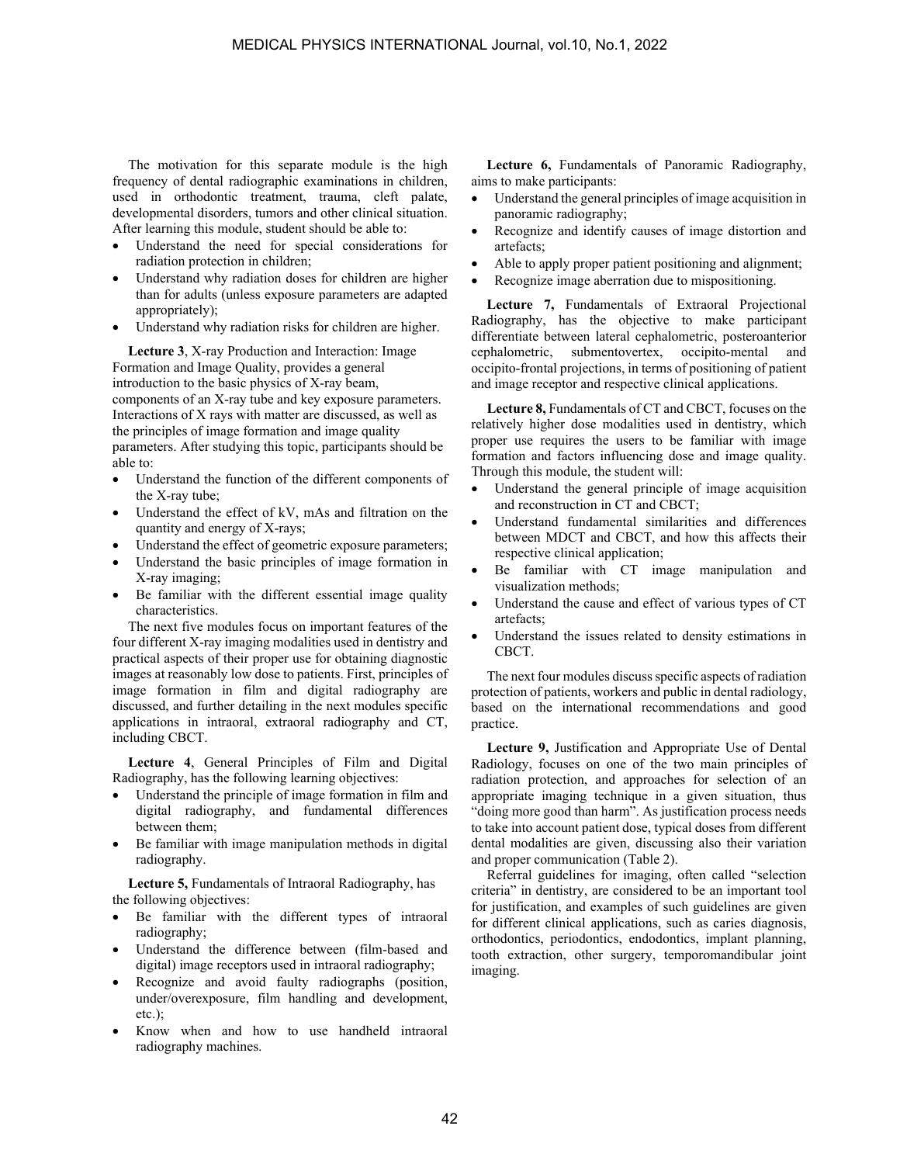The motivation for this separate module is the high frequency of dental radiographic examinations in children, used in orthodontic treatment, trauma, cleft palate, developmental disorders, tumors and other clinical situation. After learning this module, student should be able to:

- Understand the need for special considerations for radiation protection in children;
- Understand why radiation doses for children are higher than for adults (unless exposure parameters are adapted appropriately);
- Understand why radiation risks for children are higher.

**Lecture 3**, X-ray Production and Interaction: Image Formation and Image Quality, provides a general introduction to the basic physics of X-ray beam, components of an X-ray tube and key exposure parameters. Interactions of X rays with matter are discussed, as well as the principles of image formation and image quality parameters. After studying this topic, participants should be able to:

- Understand the function of the different components of the X-ray tube;
- Understand the effect of kV, mAs and filtration on the quantity and energy of X-rays;
- Understand the effect of geometric exposure parameters;
- Understand the basic principles of image formation in X-ray imaging;
- Be familiar with the different essential image quality characteristics.

The next five modules focus on important features of the four different X-ray imaging modalities used in dentistry and practical aspects of their proper use for obtaining diagnostic images at reasonably low dose to patients. First, principles of image formation in film and digital radiography are discussed, and further detailing in the next modules specific applications in intraoral, extraoral radiography and CT, including CBCT.

**Lecture 4**, General Principles of Film and Digital Radiography, has the following learning objectives:

- Understand the principle of image formation in film and digital radiography, and fundamental differences between them;
- Be familiar with image manipulation methods in digital radiography.

**Lecture 5,** Fundamentals of Intraoral Radiography, has the following objectives:

- Be familiar with the different types of intraoral radiography;
- Understand the difference between (film-based and digital) image receptors used in intraoral radiography;
- Recognize and avoid faulty radiographs (position, under/overexposure, film handling and development, etc.);
- Know when and how to use handheld intraoral radiography machines.

**Lecture 6,** Fundamentals of Panoramic Radiography, aims to make participants:

- Understand the general principles of image acquisition in panoramic radiography;
- Recognize and identify causes of image distortion and artefacts;
- Able to apply proper patient positioning and alignment;
- Recognize image aberration due to mispositioning.

**Lecture 7,** Fundamentals of Extraoral Projectional Radiography, has the objective to make participant differentiate between lateral cephalometric, posteroanterior cephalometric, submentovertex, occipito-mental and occipito-frontal projections, in terms of positioning of patient and image receptor and respective clinical applications.

**Lecture 8,** Fundamentals of CT and CBCT, focuses on the relatively higher dose modalities used in dentistry, which proper use requires the users to be familiar with image formation and factors influencing dose and image quality. Through this module, the student will:

- Understand the general principle of image acquisition and reconstruction in CT and CBCT;
- Understand fundamental similarities and differences between MDCT and CBCT, and how this affects their respective clinical application;
- Be familiar with CT image manipulation and visualization methods;
- Understand the cause and effect of various types of CT artefacts;
- Understand the issues related to density estimations in CBCT.

The next four modules discuss specific aspects of radiation protection of patients, workers and public in dental radiology, based on the international recommendations and good practice.

**Lecture 9,** Justification and Appropriate Use of Dental Radiology, focuses on one of the two main principles of radiation protection, and approaches for selection of an appropriate imaging technique in a given situation, thus "doing more good than harm". As justification process needs to take into account patient dose, typical doses from different dental modalities are given, discussing also their variation and proper communication (Table 2).

Referral guidelines for imaging, often called "selection criteria" in dentistry, are considered to be an important tool for justification, and examples of such guidelines are given for different clinical applications, such as caries diagnosis, orthodontics, periodontics, endodontics, implant planning, tooth extraction, other surgery, temporomandibular joint imaging.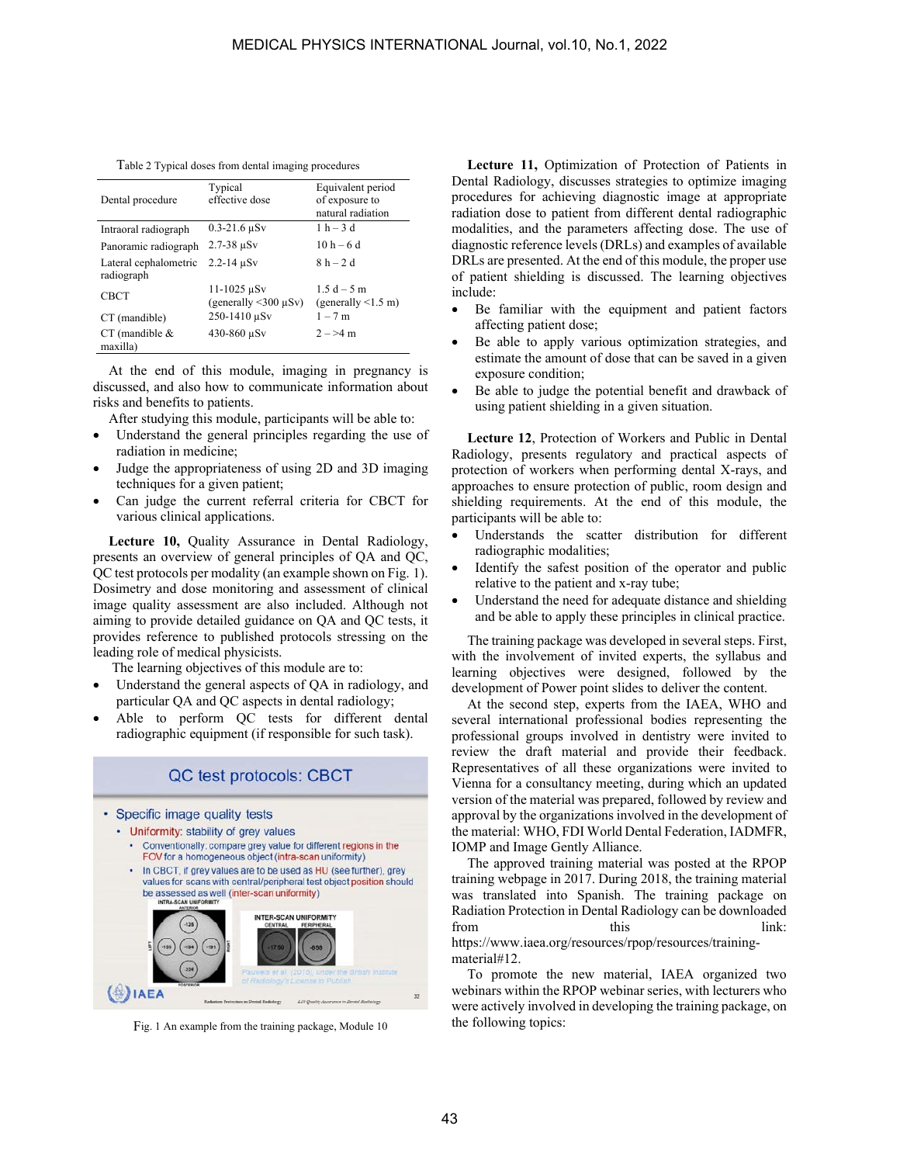Table 2 Typical doses from dental imaging procedures

| Dental procedure                    | Typical<br>effective dose                                         | Equivalent period<br>of exposure to<br>natural radiation |
|-------------------------------------|-------------------------------------------------------------------|----------------------------------------------------------|
| Intraoral radiograph                | $0.3 - 21.6 \,\mu Sv$                                             | $1 h - 3 d$                                              |
| Panoramic radiograph                | $2.7 - 38 \mu Sv$                                                 | $10 h - 6 d$                                             |
| Lateral cephalometric<br>radiograph | $2.2 - 14 \mu Sv$                                                 | $8h-2d$                                                  |
| <b>CBCT</b>                         | $11 - 1025 \,\mu Sv$<br>(generally $\langle 300 \mu Sv \rangle$ ) | $1.5d - 5m$<br>(generally $\leq 1.5$ m)                  |
| CT (mandible)                       | $250 - 1410$ $\mu$ Sv                                             | $1 - 7$ m                                                |
| $CT$ (mandible $&$<br>maxilla)      | 430-860 μSv                                                       | $2 - 24$ m                                               |

At the end of this module, imaging in pregnancy is discussed, and also how to communicate information about risks and benefits to patients.

After studying this module, participants will be able to:

- Understand the general principles regarding the use of radiation in medicine;
- Judge the appropriateness of using 2D and 3D imaging techniques for a given patient;
- Can judge the current referral criteria for CBCT for various clinical applications.

**Lecture 10,** Quality Assurance in Dental Radiology, presents an overview of general principles of QA and QC, QC test protocols per modality (an example shown on Fig. 1). Dosimetry and dose monitoring and assessment of clinical image quality assessment are also included. Although not aiming to provide detailed guidance on QA and QC tests, it provides reference to published protocols stressing on the leading role of medical physicists.

The learning objectives of this module are to:

- Understand the general aspects of QA in radiology, and particular QA and QC aspects in dental radiology;
- Able to perform QC tests for different dental radiographic equipment (if responsible for such task).



Fig. 1 An example from the training package, Module 10

Lecture 11, Optimization of Protection of Patients in Dental Radiology, discusses strategies to optimize imaging procedures for achieving diagnostic image at appropriate radiation dose to patient from different dental radiographic modalities, and the parameters affecting dose. The use of diagnostic reference levels (DRLs) and examples of available DRLs are presented. At the end of this module, the proper use of patient shielding is discussed. The learning objectives include:

- Be familiar with the equipment and patient factors affecting patient dose;
- Be able to apply various optimization strategies, and estimate the amount of dose that can be saved in a given exposure condition;
- Be able to judge the potential benefit and drawback of using patient shielding in a given situation.

**Lecture 12**, Protection of Workers and Public in Dental Radiology, presents regulatory and practical aspects of protection of workers when performing dental X-rays, and approaches to ensure protection of public, room design and shielding requirements. At the end of this module, the participants will be able to:

- Understands the scatter distribution for different radiographic modalities;
- Identify the safest position of the operator and public relative to the patient and x-ray tube;
- Understand the need for adequate distance and shielding and be able to apply these principles in clinical practice.

The training package was developed in several steps. First, with the involvement of invited experts, the syllabus and learning objectives were designed, followed by the development of Power point slides to deliver the content.

At the second step, experts from the IAEA, WHO and several international professional bodies representing the professional groups involved in dentistry were invited to review the draft material and provide their feedback. Representatives of all these organizations were invited to Vienna for a consultancy meeting, during which an updated version of the material was prepared, followed by review and approval by the organizations involved in the development of the material: WHO, FDI World Dental Federation, IADMFR, IOMP and Image Gently Alliance.

The approved training material was posted at the RPOP training webpage in 2017. During 2018, the training material was translated into Spanish. The training package on Radiation Protection in Dental Radiology can be downloaded from this this link: https://www.iaea.org/resources/rpop/resources/trainingmaterial#12.

To promote the new material, IAEA organized two webinars within the RPOP webinar series, with lecturers who were actively involved in developing the training package, on the following topics: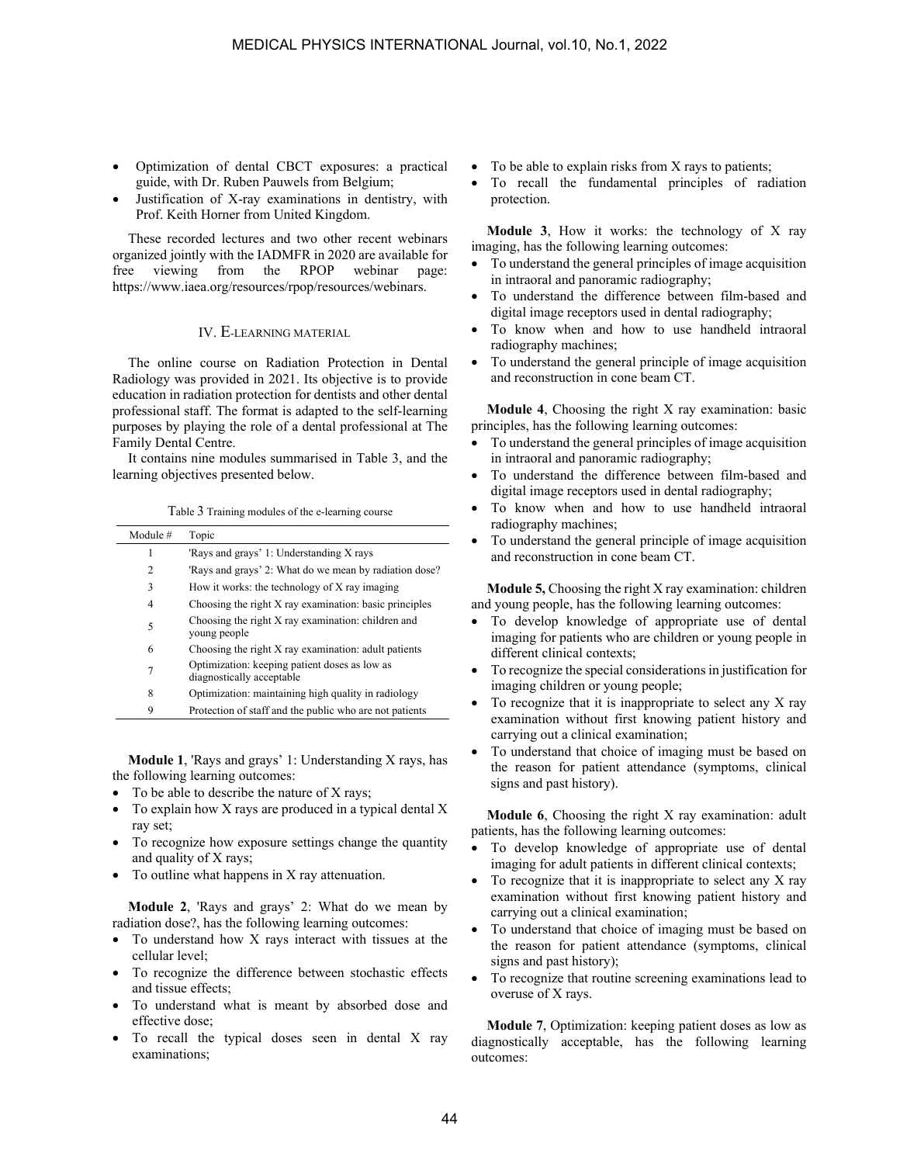- Optimization of dental CBCT exposures: a practical guide, with Dr. Ruben Pauwels from Belgium;
- Justification of X-ray examinations in dentistry, with Prof. Keith Horner from United Kingdom.

These recorded lectures and two other recent webinars organized jointly with the IADMFR in 2020 are available for free viewing from the RPOP webinar page: https://www.iaea.org/resources/rpop/resources/webinars.

# IV. E-LEARNING MATERIAL

The online course on Radiation Protection in Dental Radiology was provided in 2021. Its objective is to provide education in radiation protection for dentists and other dental professional staff. The format is adapted to the self-learning purposes by playing the role of a dental professional at The Family Dental Centre.

It contains nine modules summarised in Table 3, and the learning objectives presented below.

| Module # | Topic                                                                      |
|----------|----------------------------------------------------------------------------|
| 1        | 'Rays and grays' 1: Understanding X rays                                   |
| 2        | 'Rays and grays' 2: What do we mean by radiation dose?                     |
| 3        | How it works: the technology of X ray imaging                              |
| 4        | Choosing the right X ray examination: basic principles                     |
| 5        | Choosing the right X ray examination: children and<br>young people         |
| 6        | Choosing the right X ray examination: adult patients                       |
| 7        | Optimization: keeping patient doses as low as<br>diagnostically acceptable |
| 8        | Optimization: maintaining high quality in radiology                        |
| 9        | Protection of staff and the public who are not patients                    |

Table 3 Training modules of the e-learning course

**Module 1**, 'Rays and grays' 1: Understanding X rays, has the following learning outcomes:

- To be able to describe the nature of X rays;
- $\bullet$  To explain how X rays are produced in a typical dental X ray set;
- To recognize how exposure settings change the quantity and quality of X rays;
- To outline what happens in X ray attenuation.

**Module 2**, 'Rays and grays' 2: What do we mean by radiation dose?, has the following learning outcomes:

- To understand how X rays interact with tissues at the cellular level;
- To recognize the difference between stochastic effects and tissue effects;
- To understand what is meant by absorbed dose and effective dose;
- To recall the typical doses seen in dental X ray examinations;
- To be able to explain risks from X rays to patients;
- To recall the fundamental principles of radiation protection.

**Module 3**, How it works: the technology of X ray imaging, has the following learning outcomes:

- To understand the general principles of image acquisition in intraoral and panoramic radiography;
- To understand the difference between film-based and digital image receptors used in dental radiography;
- To know when and how to use handheld intraoral radiography machines;
- To understand the general principle of image acquisition and reconstruction in cone beam CT.

**Module 4**, Choosing the right X ray examination: basic principles, has the following learning outcomes:

- To understand the general principles of image acquisition in intraoral and panoramic radiography;
- To understand the difference between film-based and digital image receptors used in dental radiography;
- To know when and how to use handheld intraoral radiography machines;
- To understand the general principle of image acquisition and reconstruction in cone beam CT.

**Module 5,** Choosing the right X ray examination: children and young people, has the following learning outcomes:

- To develop knowledge of appropriate use of dental imaging for patients who are children or young people in different clinical contexts;
- To recognize the special considerations in justification for imaging children or young people;
- To recognize that it is inappropriate to select any X ray examination without first knowing patient history and carrying out a clinical examination;
- To understand that choice of imaging must be based on the reason for patient attendance (symptoms, clinical signs and past history).

**Module 6**, Choosing the right X ray examination: adult patients, has the following learning outcomes:

- To develop knowledge of appropriate use of dental imaging for adult patients in different clinical contexts;
- To recognize that it is inappropriate to select any X ray examination without first knowing patient history and carrying out a clinical examination;
- To understand that choice of imaging must be based on the reason for patient attendance (symptoms, clinical signs and past history);
- To recognize that routine screening examinations lead to overuse of X rays.

**Module 7**, Optimization: keeping patient doses as low as diagnostically acceptable, has the following learning outcomes: